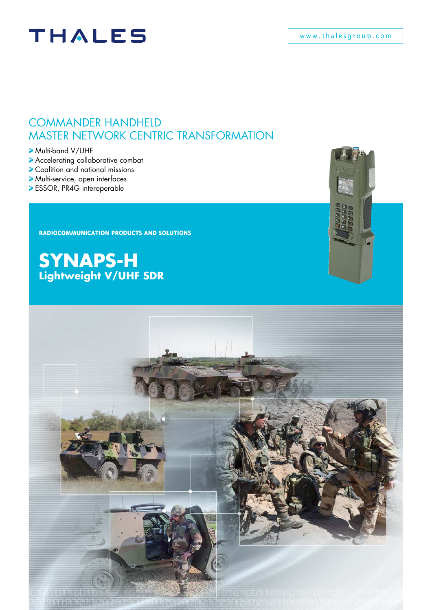# **THALES**

### COMMANDER HANDHELD Master Network Centric Transformation

Multi-band V/UHF

- Accelerating collaborative combat
- Coalition and national missions
- Multi-service, open interfaces
- ESSOR, PR4G interoperable

**RADIOCOMMUNICATION PRODUCTS AND SOLUTIONS**

**SYNAPS-H Lightweight V/UHF SDR**